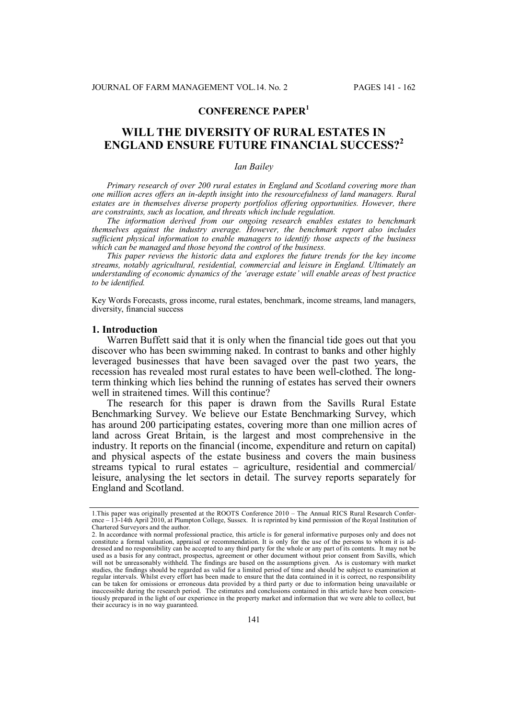# **CONFERENCE PAPER<sup>1</sup>**

# **WILL THE DIVERSITY OF RURAL ESTATES IN ENGLAND ENSURE FUTURE FINANCIAL SUCCESS?<sup>2</sup>**

## *Ian Bailey*

*Primary research of over 200 rural estates in England and Scotland covering more than one million acres offers an in-depth insight into the resourcefulness of land managers. Rural estates are in themselves diverse property portfolios offering opportunities. However, there are constraints, such as location, and threats which include regulation.*

*The information derived from our ongoing research enables estates to benchmark themselves against the industry average. However, the benchmark report also includes sufficient physical information to enable managers to identify those aspects of the business which can be managed and those beyond the control of the business.*

*This paper reviews the historic data and explores the future trends for the key income streams, notably agricultural, residential, commercial and leisure in England. Ultimately an understanding of economic dynamics of the 'average estate' will enable areas of best practice to be identified.*

Key Words Forecasts, gross income, rural estates, benchmark, income streams, land managers, diversity, financial success

#### **1. Introduction**

Warren Buffett said that it is only when the financial tide goes out that you discover who has been swimming naked. In contrast to banks and other highly leveraged businesses that have been savaged over the past two years, the recession has revealed most rural estates to have been well-clothed. The longterm thinking which lies behind the running of estates has served their owners well in straitened times. Will this continue?

The research for this paper is drawn from the Savills Rural Estate Benchmarking Survey. We believe our Estate Benchmarking Survey, which has around 200 participating estates, covering more than one million acres of land across Great Britain, is the largest and most comprehensive in the industry. It reports on the financial (income, expenditure and return on capital) and physical aspects of the estate business and covers the main business streams typical to rural estates – agriculture, residential and commercial/ leisure, analysing the let sectors in detail. The survey reports separately for England and Scotland.

<sup>1.</sup>This paper was originally presented at the ROOTS Conference 2010 – The Annual RICS Rural Research Conference – 13-14th April 2010, at Plumpton College, Sussex. It is reprinted by kind permission of the Royal Institution of Chartered Surveyors and the author.

<sup>2.</sup> In accordance with normal professional practice, this article is for general informative purposes only and does not constitute a formal valuation, appraisal or recommendation. It is only for the use of the persons to whom it is addressed and no responsibility can be accepted to any third party for the whole or any part of its contents. It may not be used as a basis for any contract, prospectus, agreement or other document without prior consent from Savills, which will not be unreasonably withheld. The findings are based on the assumptions given. As is customary with market studies, the findings should be regarded as valid for a limited period of time and should be subject to examination at regular intervals. Whilst every effort has been made to ensure that the data contained in it is correct, no responsibility can be taken for omissions or erroneous data provided by a third party or due to information being unavailable or inaccessible during the research period. The estimates and conclusions contained in this article have been conscientiously prepared in the light of our experience in the property market and information that we were able to collect, but their accuracy is in no way guaranteed.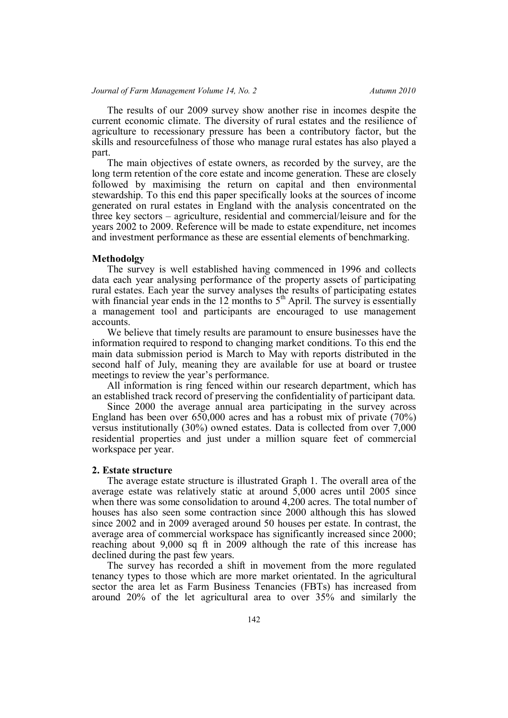## *Journal of Farm Management Volume 14, No. 2* Autumn 2010

The results of our 2009 survey show another rise in incomes despite the current economic climate. The diversity of rural estates and the resilience of agriculture to recessionary pressure has been a contributory factor, but the skills and resourcefulness of those who manage rural estates has also played a part.

The main objectives of estate owners, as recorded by the survey, are the long term retention of the core estate and income generation. These are closely followed by maximising the return on capital and then environmental stewardship. To this end this paper specifically looks at the sources of income generated on rural estates in England with the analysis concentrated on the three key sectors – agriculture, residential and commercial/leisure and for the years 2002 to 2009. Reference will be made to estate expenditure, net incomes and investment performance as these are essential elements of benchmarking.

# **Methodolgy**

The survey is well established having commenced in 1996 and collects data each year analysing performance of the property assets of participating rural estates. Each year the survey analyses the results of participating estates with financial year ends in the 12 months to  $5<sup>th</sup>$  April. The survey is essentially a management tool and participants are encouraged to use management accounts.

We believe that timely results are paramount to ensure businesses have the information required to respond to changing market conditions. To this end the main data submission period is March to May with reports distributed in the second half of July, meaning they are available for use at board or trustee meetings to review the year's performance.

All information is ring fenced within our research department, which has an established track record of preserving the confidentiality of participant data.

Since 2000 the average annual area participating in the survey across England has been over 650,000 acres and has a robust mix of private (70%) versus institutionally (30%) owned estates. Data is collected from over 7,000 residential properties and just under a million square feet of commercial workspace per year.

#### **2. Estate structure**

The average estate structure is illustrated Graph 1. The overall area of the average estate was relatively static at around 5,000 acres until 2005 since when there was some consolidation to around 4,200 acres. The total number of houses has also seen some contraction since 2000 although this has slowed since 2002 and in 2009 averaged around 50 houses per estate. In contrast, the average area of commercial workspace has significantly increased since 2000; reaching about 9,000 sq ft in 2009 although the rate of this increase has declined during the past few years.

The survey has recorded a shift in movement from the more regulated tenancy types to those which are more market orientated. In the agricultural sector the area let as Farm Business Tenancies (FBTs) has increased from around 20% of the let agricultural area to over 35% and similarly the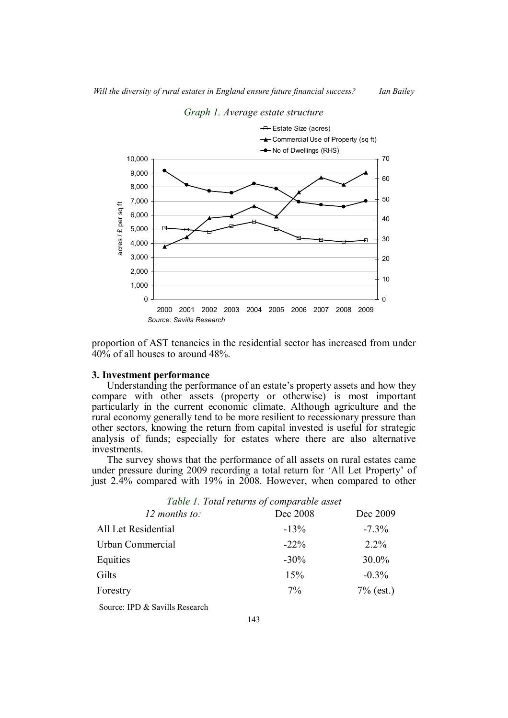

## *Graph 1. Average estate structure*

proportion of AST tenancies in the residential sector has increased from under 40% of all houses to around 48%.

#### **3. Investment performance**

Understanding the performance of an estate's property assets and how they compare with other assets (property or otherwise) is most important particularly in the current economic climate. Although agriculture and the rural economy generally tend to be more resilient to recessionary pressure than other sectors, knowing the return from capital invested is useful for strategic analysis of funds; especially for estates where there are also alternative investments.

The survey shows that the performance of all assets on rural estates came under pressure during 2009 recording a total return for 'All Let Property' of just 2.4% compared with 19% in 2008. However, when compared to other

*Table 1. Total returns of comparable asset*

| 12 months to:       | Dec 2008 | Dec 2009     |  |  |
|---------------------|----------|--------------|--|--|
| All Let Residential | $-13%$   | $-7.3\%$     |  |  |
| Urban Commercial    | $-22\%$  | $2.2\%$      |  |  |
| Equities            | $-30\%$  | $30.0\%$     |  |  |
| Gilts               | 15%      | $-0.3\%$     |  |  |
| Forestry            | $7\%$    | $7\%$ (est.) |  |  |
|                     |          |              |  |  |

Source: IPD & Savills Research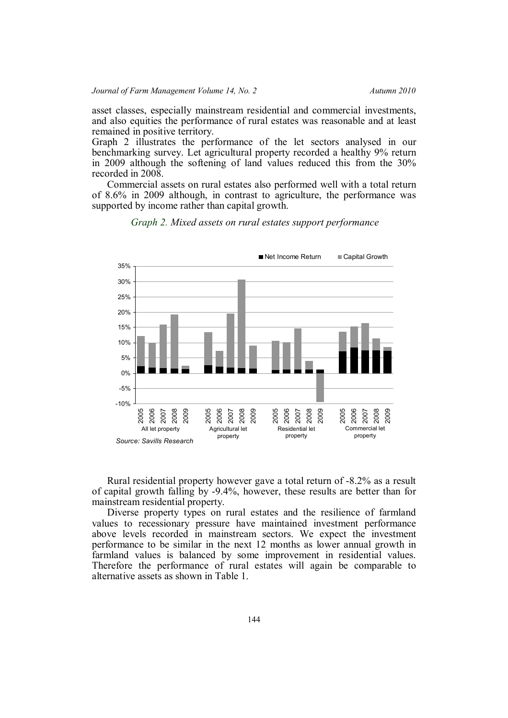asset classes, especially mainstream residential and commercial investments, and also equities the performance of rural estates was reasonable and at least remained in positive territory.

Graph 2 illustrates the performance of the let sectors analysed in our benchmarking survey. Let agricultural property recorded a healthy 9% return in 2009 although the softening of land values reduced this from the 30% recorded in 2008.

Commercial assets on rural estates also performed well with a total return of 8.6% in 2009 although, in contrast to agriculture, the performance was supported by income rather than capital growth.



*Graph 2. Mixed assets on rural estates support performance*

Rural residential property however gave a total return of -8.2% as a result of capital growth falling by -9.4%, however, these results are better than for mainstream residential property.

Diverse property types on rural estates and the resilience of farmland values to recessionary pressure have maintained investment performance above levels recorded in mainstream sectors. We expect the investment performance to be similar in the next 12 months as lower annual growth in farmland values is balanced by some improvement in residential values. Therefore the performance of rural estates will again be comparable to alternative assets as shown in Table 1.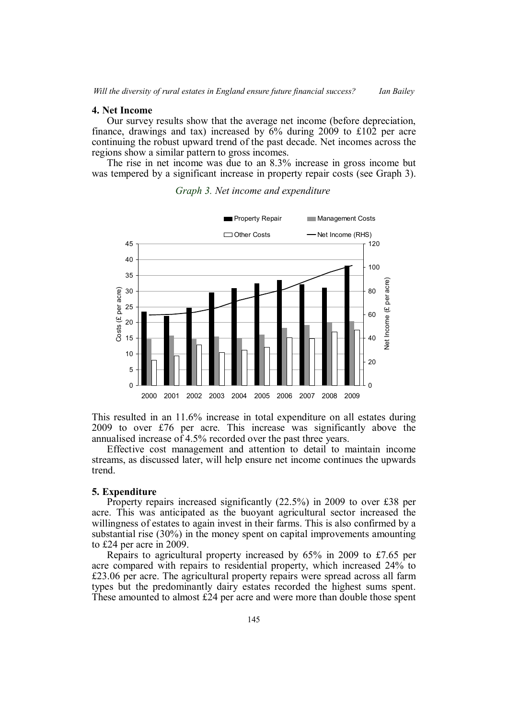## **4. Net Income**

Our survey results show that the average net income (before depreciation, finance, drawings and tax) increased by 6% during 2009 to £102 per acre continuing the robust upward trend of the past decade. Net incomes across the regions show a similar pattern to gross incomes.

The rise in net income was due to an 8.3% increase in gross income but was tempered by a significant increase in property repair costs (see Graph 3).





This resulted in an 11.6% increase in total expenditure on all estates during 2009 to over £76 per acre. This increase was significantly above the annualised increase of 4.5% recorded over the past three years.

Effective cost management and attention to detail to maintain income streams, as discussed later, will help ensure net income continues the upwards trend.

## **5. Expenditure**

Property repairs increased significantly (22.5%) in 2009 to over £38 per acre. This was anticipated as the buoyant agricultural sector increased the willingness of estates to again invest in their farms. This is also confirmed by a substantial rise (30%) in the money spent on capital improvements amounting to £24 per acre in 2009.

Repairs to agricultural property increased by 65% in 2009 to £7.65 per acre compared with repairs to residential property, which increased 24% to £23.06 per acre. The agricultural property repairs were spread across all farm types but the predominantly dairy estates recorded the highest sums spent. These amounted to almost £24 per acre and were more than double those spent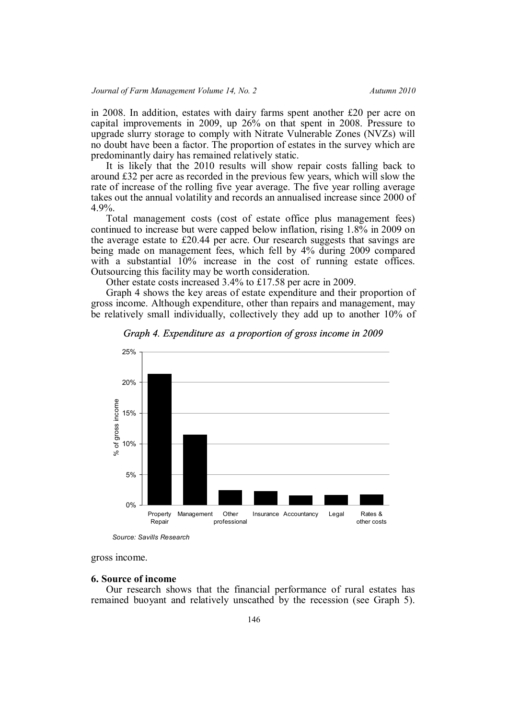in 2008. In addition, estates with dairy farms spent another £20 per acre on capital improvements in 2009, up 26% on that spent in 2008. Pressure to upgrade slurry storage to comply with Nitrate Vulnerable Zones (NVZs) will no doubt have been a factor. The proportion of estates in the survey which are predominantly dairy has remained relatively static.

It is likely that the 2010 results will show repair costs falling back to around £32 per acre as recorded in the previous few years, which will slow the rate of increase of the rolling five year average. The five year rolling average takes out the annual volatility and records an annualised increase since 2000 of 4.9%.

Total management costs (cost of estate office plus management fees) continued to increase but were capped below inflation, rising 1.8% in 2009 on the average estate to £20.44 per acre. Our research suggests that savings are being made on management fees, which fell by 4% during 2009 compared with a substantial  $10\%$  increase in the cost of running estate offices. Outsourcing this facility may be worth consideration.

Other estate costs increased 3.4% to £17.58 per acre in 2009.

Graph 4 shows the key areas of estate expenditure and their proportion of gross income. Although expenditure, other than repairs and management, may be relatively small individually, collectively they add up to another 10% of



*Graph 4. Expenditure as a proportion of gross income in 2009*

*Source: Savills Research*

gross income.

#### **6. Source of income**

Our research shows that the financial performance of rural estates has remained buoyant and relatively unscathed by the recession (see Graph 5).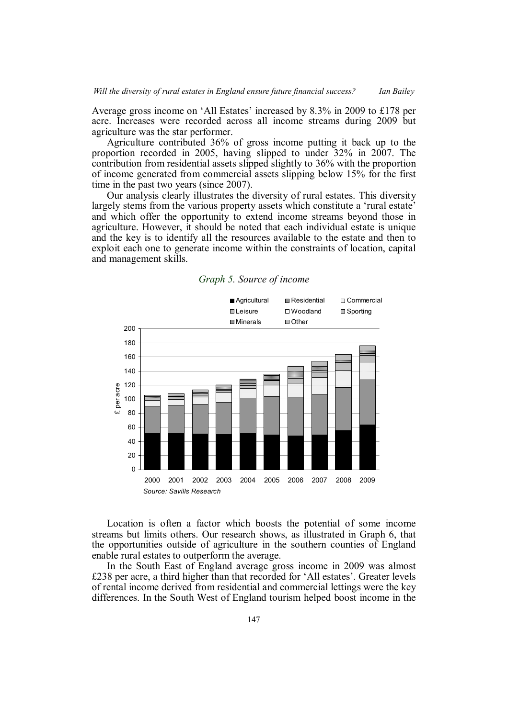Average gross income on 'All Estates' increased by 8.3% in 2009 to £178 per acre. Increases were recorded across all income streams during 2009 but agriculture was the star performer.

Agriculture contributed 36% of gross income putting it back up to the proportion recorded in 2005, having slipped to under 32% in 2007. The contribution from residential assets slipped slightly to 36% with the proportion of income generated from commercial assets slipping below 15% for the first time in the past two years (since 2007).

Our analysis clearly illustrates the diversity of rural estates. This diversity largely stems from the various property assets which constitute a 'rural estate' and which offer the opportunity to extend income streams beyond those in agriculture. However, it should be noted that each individual estate is unique and the key is to identify all the resources available to the estate and then to exploit each one to generate income within the constraints of location, capital and management skills.

# ■ Agricultural ■ Residential ■ Commercial **III** Leisure □ Woodland ■ Sporting **Minerals De Other**

*Graph 5. Source of income*



Location is often a factor which boosts the potential of some income streams but limits others. Our research shows, as illustrated in Graph 6, that the opportunities outside of agriculture in the southern counties of England enable rural estates to outperform the average.

In the South East of England average gross income in 2009 was almost £238 per acre, a third higher than that recorded for 'All estates'. Greater levels of rental income derived from residential and commercial lettings were the key differences. In the South West of England tourism helped boost income in the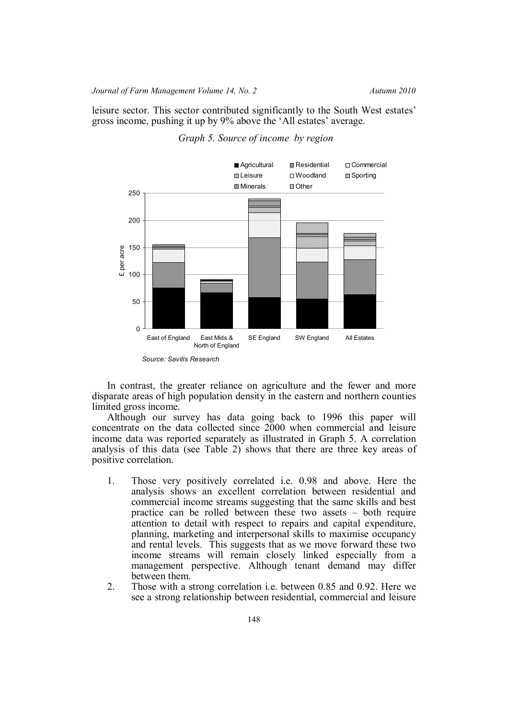leisure sector. This sector contributed significantly to the South West estates' gross income, pushing it up by 9% above the 'All estates' average.



*Graph 5. Source of income by region*

In contrast, the greater reliance on agriculture and the fewer and more disparate areas of high population density in the eastern and northern counties limited gross income.

Although our survey has data going back to 1996 this paper will concentrate on the data collected since 2000 when commercial and leisure income data was reported separately as illustrated in Graph 5. A correlation analysis of this data (see Table 2) shows that there are three key areas of positive correlation.

- 1. Those very positively correlated i.e. 0.98 and above. Here the analysis shows an excellent correlation between residential and commercial income streams suggesting that the same skills and best practice can be rolled between these two assets – both require attention to detail with respect to repairs and capital expenditure, planning, marketing and interpersonal skills to maximise occupancy and rental levels. This suggests that as we move forward these two income streams will remain closely linked especially from a management perspective. Although tenant demand may differ between them.
- 2. Those with a strong correlation i.e. between 0.85 and 0.92. Here we see a strong relationship between residential, commercial and leisure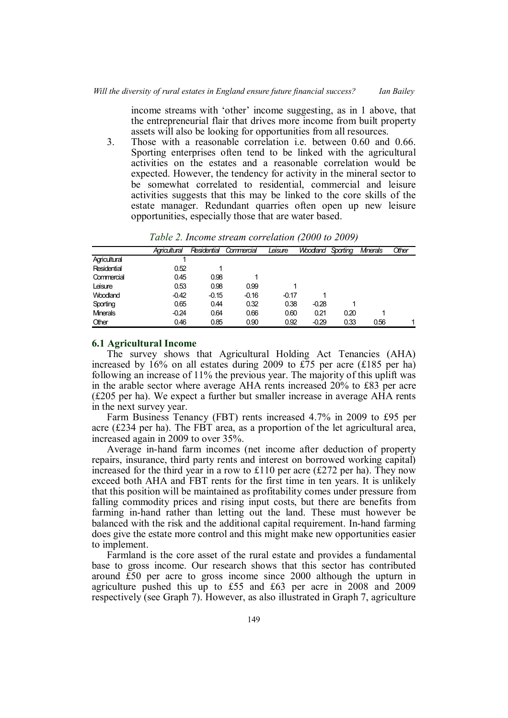income streams with 'other' income suggesting, as in 1 above, that the entrepreneurial flair that drives more income from built property assets will also be looking for opportunities from all resources.

3. Those with a reasonable correlation i.e. between 0.60 and 0.66. Sporting enterprises often tend to be linked with the agricultural activities on the estates and a reasonable correlation would be expected. However, the tendency for activity in the mineral sector to be somewhat correlated to residential, commercial and leisure activities suggests that this may be linked to the core skills of the estate manager. Redundant quarries often open up new leisure opportunities, especially those that are water based.

|                 | Agricultural | Residential | Commercial | Leisure | <b>Woodand</b> | Sporting | <b>Mnerals</b> | Other |
|-----------------|--------------|-------------|------------|---------|----------------|----------|----------------|-------|
| Agricultural    |              |             |            |         |                |          |                |       |
| Residential     | 0.52         |             |            |         |                |          |                |       |
| Commercial      | 0.45         | 0.98        |            |         |                |          |                |       |
| Leisure         | 0.53         | 0.98        | 0.99       |         |                |          |                |       |
| Woodland        | $-0.42$      | $-0.15$     | $-0.16$    | $-0.17$ |                |          |                |       |
| Sporting        | 0.65         | 0.44        | 0.32       | 0.38    | $-0.28$        |          |                |       |
| <b>Minerals</b> | $-0.24$      | 0.64        | 0.66       | 0.60    | 0.21           | 0.20     |                |       |
| Other           | 0.46         | 0.85        | 0.90       | 0.92    | $-0.29$        | 0.33     | 0.56           |       |

*Table 2. Income stream correlation (2000 to 2009)*

# **6.1 Agricultural Income**

The survey shows that Agricultural Holding Act Tenancies (AHA) increased by 16% on all estates during 2009 to £75 per acre (£185 per ha) following an increase of 11% the previous year. The majority of this uplift was in the arable sector where average AHA rents increased 20% to £83 per acre (£205 per ha). We expect a further but smaller increase in average AHA rents in the next survey year.

Farm Business Tenancy (FBT) rents increased 4.7% in 2009 to £95 per acre ( $\pounds$ 234 per ha). The FBT area, as a proportion of the let agricultural area, increased again in 2009 to over 35%.

Average in-hand farm incomes (net income after deduction of property repairs, insurance, third party rents and interest on borrowed working capital) increased for the third year in a row to £110 per acre (£272 per ha). They now exceed both AHA and FBT rents for the first time in ten years. It is unlikely that this position will be maintained as profitability comes under pressure from falling commodity prices and rising input costs, but there are benefits from farming in-hand rather than letting out the land. These must however be balanced with the risk and the additional capital requirement. In-hand farming does give the estate more control and this might make new opportunities easier to implement.

Farmland is the core asset of the rural estate and provides a fundamental base to gross income. Our research shows that this sector has contributed around £50 per acre to gross income since 2000 although the upturn in agriculture pushed this up to £55 and £63 per acre in 2008 and 2009 respectively (see Graph 7). However, as also illustrated in Graph 7, agriculture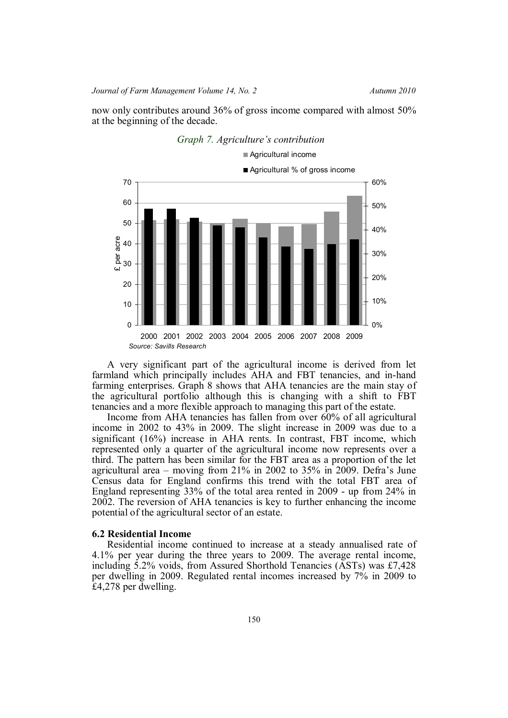*Journal of Farm Management Volume 14, No. 2* Autumn 2010

now only contributes around 36% of gross income compared with almost 50% at the beginning of the decade.



A very significant part of the agricultural income is derived from let farmland which principally includes AHA and FBT tenancies, and in-hand farming enterprises. Graph 8 shows that AHA tenancies are the main stay of the agricultural portfolio although this is changing with a shift to FBT tenancies and a more flexible approach to managing this part of the estate.

Income from AHA tenancies has fallen from over 60% of all agricultural income in 2002 to 43% in 2009. The slight increase in 2009 was due to a significant (16%) increase in AHA rents. In contrast, FBT income, which represented only a quarter of the agricultural income now represents over a third. The pattern has been similar for the FBT area as a proportion of the let agricultural area – moving from 21% in 2002 to 35% in 2009. Defra's June Census data for England confirms this trend with the total FBT area of England representing 33% of the total area rented in 2009 - up from 24% in 2002. The reversion of AHA tenancies is key to further enhancing the income potential of the agricultural sector of an estate.

#### **6.2 Residential Income**

Residential income continued to increase at a steady annualised rate of 4.1% per year during the three years to 2009. The average rental income, including 5.2% voids, from Assured Shorthold Tenancies (ASTs) was £7,428 per dwelling in 2009. Regulated rental incomes increased by 7% in 2009 to £4,278 per dwelling.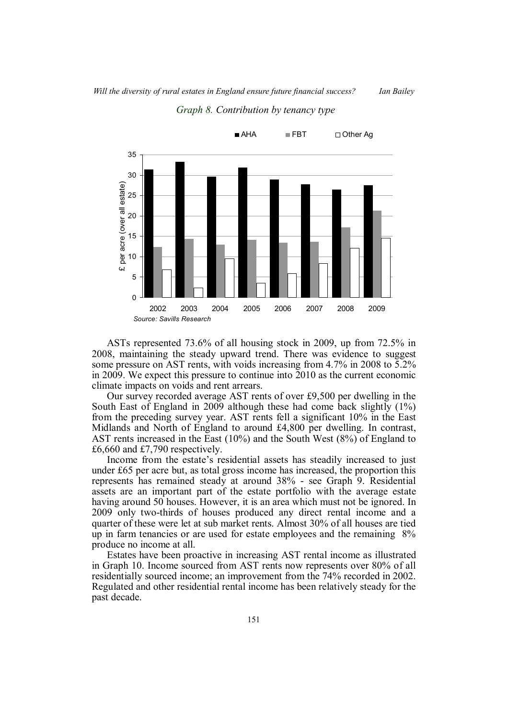

*Graph 8. Contribution by tenancy type*

ASTs represented 73.6% of all housing stock in 2009, up from 72.5% in 2008, maintaining the steady upward trend. There was evidence to suggest some pressure on AST rents, with voids increasing from 4.7% in 2008 to 5.2% in 2009. We expect this pressure to continue into 2010 as the current economic climate impacts on voids and rent arrears.

Our survey recorded average AST rents of over £9,500 per dwelling in the South East of England in 2009 although these had come back slightly (1%) from the preceding survey year. AST rents fell a significant 10% in the East Midlands and North of England to around £4,800 per dwelling. In contrast, AST rents increased in the East (10%) and the South West (8%) of England to £6,660 and £7,790 respectively.

Income from the estate's residential assets has steadily increased to just under £65 per acre but, as total gross income has increased, the proportion this represents has remained steady at around 38% - see Graph 9. Residential assets are an important part of the estate portfolio with the average estate having around 50 houses. However, it is an area which must not be ignored. In 2009 only two-thirds of houses produced any direct rental income and a quarter of these were let at sub market rents. Almost 30% of all houses are tied up in farm tenancies or are used for estate employees and the remaining 8% produce no income at all.

Estates have been proactive in increasing AST rental income as illustrated in Graph 10. Income sourced from AST rents now represents over 80% of all residentially sourced income; an improvement from the 74% recorded in 2002. Regulated and other residential rental income has been relatively steady for the past decade.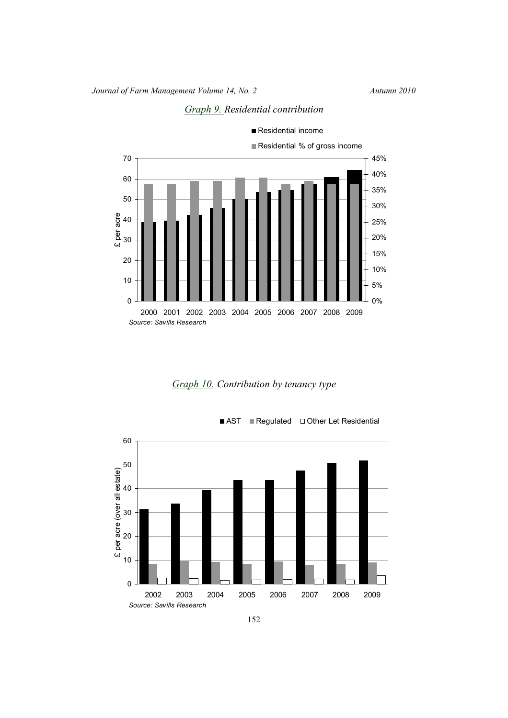

*Graph 9. Residential contribution*







<sup>152</sup>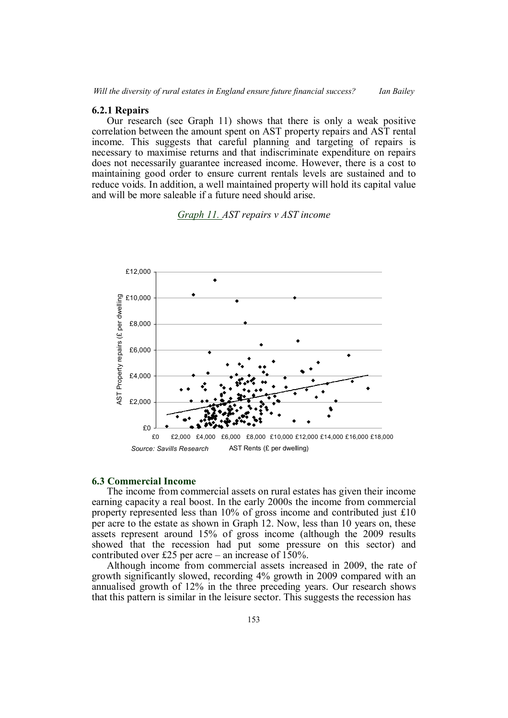## **6.2.1 Repairs**

Our research (see Graph 11) shows that there is only a weak positive correlation between the amount spent on AST property repairs and AST rental income. This suggests that careful planning and targeting of repairs is necessary to maximise returns and that indiscriminate expenditure on repairs does not necessarily guarantee increased income. However, there is a cost to maintaining good order to ensure current rentals levels are sustained and to reduce voids. In addition, a well maintained property will hold its capital value and will be more saleable if a future need should arise.

## *Graph 11. AST repairs v AST income*



### **6.3 Commercial Income**

The income from commercial assets on rural estates has given their income earning capacity a real boost. In the early 2000s the income from commercial property represented less than 10% of gross income and contributed just £10 per acre to the estate as shown in Graph 12. Now, less than 10 years on, these assets represent around 15% of gross income (although the 2009 results showed that the recession had put some pressure on this sector) and contributed over £25 per acre – an increase of 150%.

Although income from commercial assets increased in 2009, the rate of growth significantly slowed, recording 4% growth in 2009 compared with an annualised growth of 12% in the three preceding years. Our research shows that this pattern is similar in the leisure sector. This suggests the recession has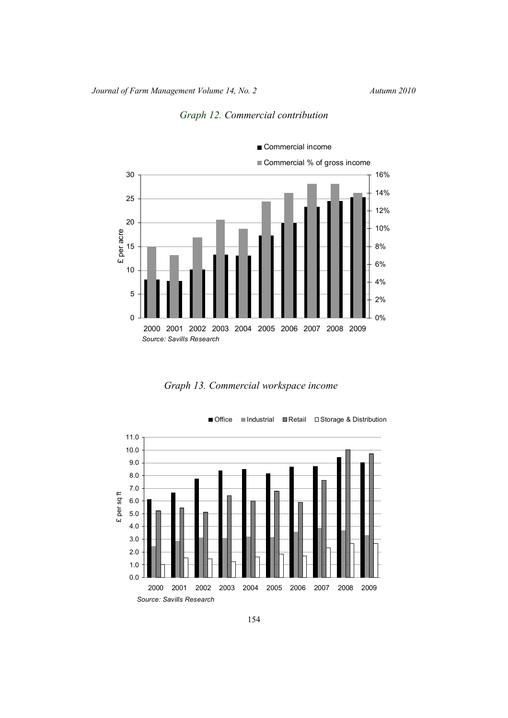



*Graph 13. Commercial workspace income*



154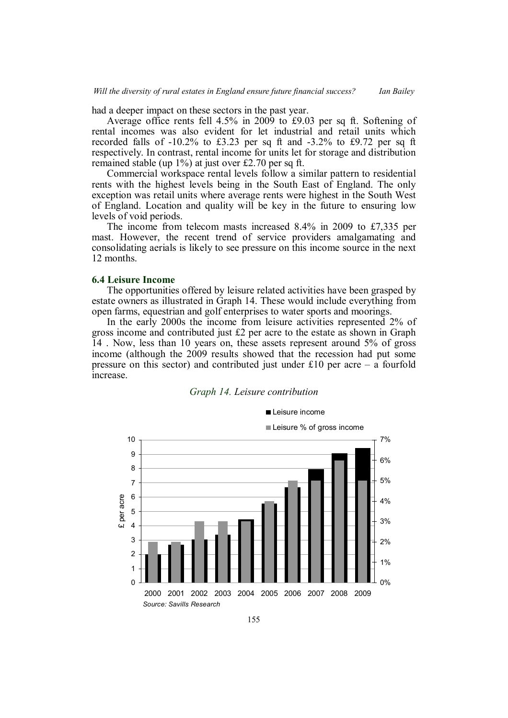had a deeper impact on these sectors in the past year.

Average office rents fell 4.5% in 2009 to £9.03 per sq ft. Softening of rental incomes was also evident for let industrial and retail units which recorded falls of -10.2% to £3.23 per sq ft and -3.2% to £9.72 per sq ft respectively. In contrast, rental income for units let for storage and distribution remained stable (up 1%) at just over £2.70 per sq ft.

Commercial workspace rental levels follow a similar pattern to residential rents with the highest levels being in the South East of England. The only exception was retail units where average rents were highest in the South West of England. Location and quality will be key in the future to ensuring low levels of void periods.

The income from telecom masts increased 8.4% in 2009 to £7,335 per mast. However, the recent trend of service providers amalgamating and consolidating aerials is likely to see pressure on this income source in the next 12 months.

#### **6.4 Leisure Income**

The opportunities offered by leisure related activities have been grasped by estate owners as illustrated in Graph 14. These would include everything from open farms, equestrian and golf enterprises to water sports and moorings.

In the early 2000s the income from leisure activities represented 2% of gross income and contributed just  $£2$  per acre to the estate as shown in Graph 14 . Now, less than 10 years on, these assets represent around 5% of gross income (although the 2009 results showed that the recession had put some pressure on this sector) and contributed just under  $£10$  per acre – a fourfold increase.



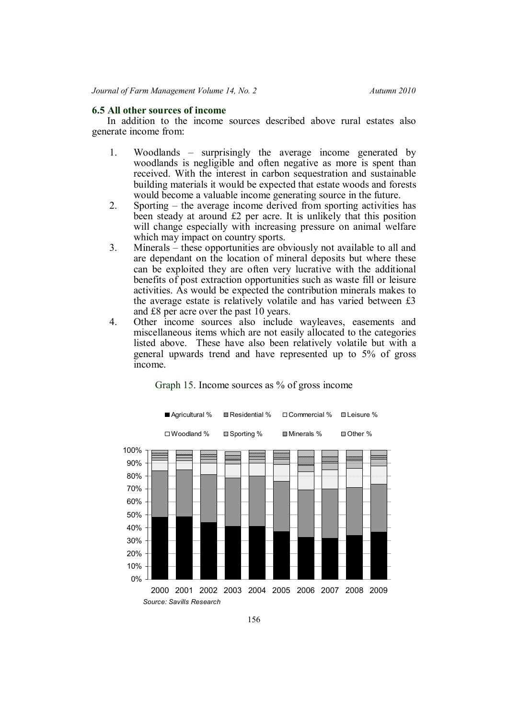## **6.5 All other sources of income**

In addition to the income sources described above rural estates also generate income from:

- 1. Woodlands surprisingly the average income generated by woodlands is negligible and often negative as more is spent than received. With the interest in carbon sequestration and sustainable building materials it would be expected that estate woods and forests would become a valuable income generating source in the future.
- 2. Sporting the average income derived from sporting activities has been steady at around £2 per acre. It is unlikely that this position will change especially with increasing pressure on animal welfare which may impact on country sports.
- 3. Minerals these opportunities are obviously not available to all and are dependant on the location of mineral deposits but where these can be exploited they are often very lucrative with the additional benefits of post extraction opportunities such as waste fill or leisure activities. As would be expected the contribution minerals makes to the average estate is relatively volatile and has varied between £3 and £8 per acre over the past 10 years.
- 4. Other income sources also include wayleaves, easements and miscellaneous items which are not easily allocated to the categories listed above. These have also been relatively volatile but with a general upwards trend and have represented up to 5% of gross income.

![](_page_15_Figure_8.jpeg)

Graph 15. Income sources as % of gross income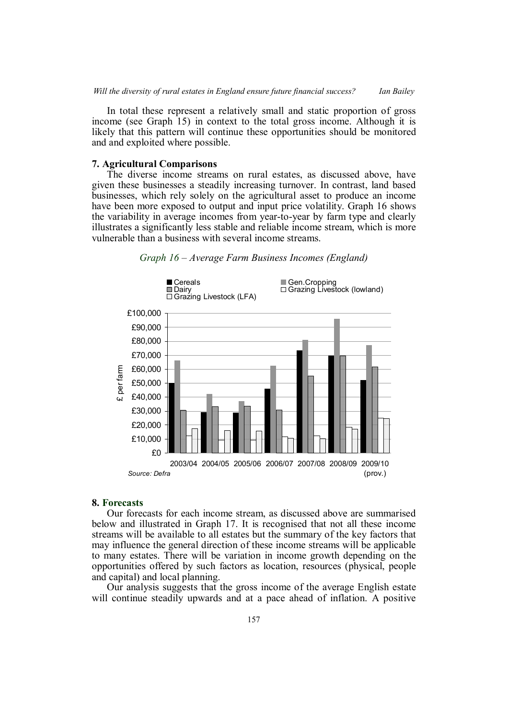In total these represent a relatively small and static proportion of gross income (see Graph 15) in context to the total gross income. Although it is likely that this pattern will continue these opportunities should be monitored and and exploited where possible.

## **7. Agricultural Comparisons**

The diverse income streams on rural estates, as discussed above, have given these businesses a steadily increasing turnover. In contrast, land based businesses, which rely solely on the agricultural asset to produce an income have been more exposed to output and input price volatility. Graph 16 shows the variability in average incomes from year-to-year by farm type and clearly illustrates a significantly less stable and reliable income stream, which is more vulnerable than a business with several income streams.

![](_page_16_Figure_4.jpeg)

![](_page_16_Figure_5.jpeg)

## **8. Forecasts**

Our forecasts for each income stream, as discussed above are summarised below and illustrated in Graph 17. It is recognised that not all these income streams will be available to all estates but the summary of the key factors that may influence the general direction of these income streams will be applicable to many estates. There will be variation in income growth depending on the opportunities offered by such factors as location, resources (physical, people and capital) and local planning.

Our analysis suggests that the gross income of the average English estate will continue steadily upwards and at a pace ahead of inflation. A positive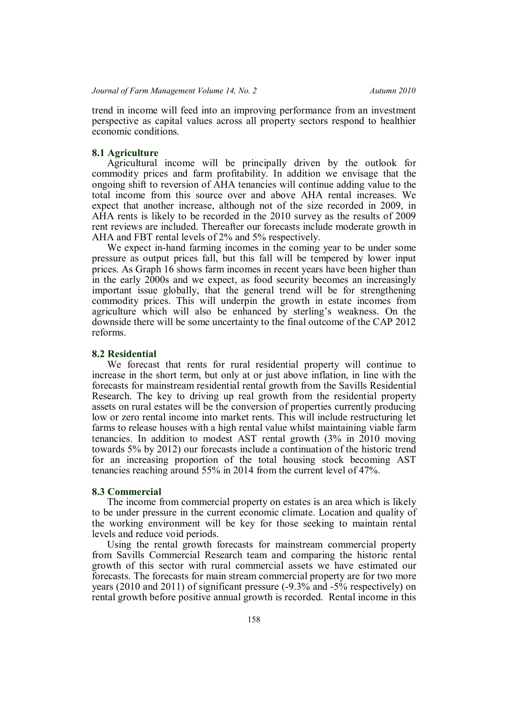trend in income will feed into an improving performance from an investment perspective as capital values across all property sectors respond to healthier economic conditions.

## **8.1 Agriculture**

Agricultural income will be principally driven by the outlook for commodity prices and farm profitability. In addition we envisage that the ongoing shift to reversion of AHA tenancies will continue adding value to the total income from this source over and above AHA rental increases. We expect that another increase, although not of the size recorded in 2009, in AHA rents is likely to be recorded in the 2010 survey as the results of 2009 rent reviews are included. Thereafter our forecasts include moderate growth in AHA and FBT rental levels of 2% and 5% respectively.

We expect in-hand farming incomes in the coming year to be under some pressure as output prices fall, but this fall will be tempered by lower input prices. As Graph 16 shows farm incomes in recent years have been higher than in the early 2000s and we expect, as food security becomes an increasingly important issue globally, that the general trend will be for strengthening commodity prices. This will underpin the growth in estate incomes from agriculture which will also be enhanced by sterling's weakness. On the downside there will be some uncertainty to the final outcome of the CAP 2012 reforms.

#### **8.2 Residential**

We forecast that rents for rural residential property will continue to increase in the short term, but only at or just above inflation, in line with the forecasts for mainstream residential rental growth from the Savills Residential Research. The key to driving up real growth from the residential property assets on rural estates will be the conversion of properties currently producing low or zero rental income into market rents. This will include restructuring let farms to release houses with a high rental value whilst maintaining viable farm tenancies. In addition to modest AST rental growth (3% in 2010 moving towards 5% by 2012) our forecasts include a continuation of the historic trend for an increasing proportion of the total housing stock becoming AST tenancies reaching around 55% in 2014 from the current level of 47%.

## **8.3 Commercial**

The income from commercial property on estates is an area which is likely to be under pressure in the current economic climate. Location and quality of the working environment will be key for those seeking to maintain rental levels and reduce void periods.

Using the rental growth forecasts for mainstream commercial property from Savills Commercial Research team and comparing the historic rental growth of this sector with rural commercial assets we have estimated our forecasts. The forecasts for main stream commercial property are for two more years (2010 and 2011) of significant pressure (-9.3% and -5% respectively) on rental growth before positive annual growth is recorded. Rental income in this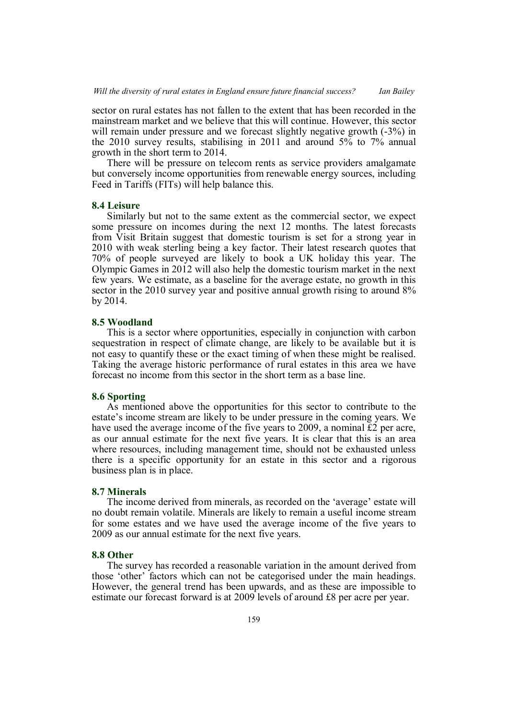sector on rural estates has not fallen to the extent that has been recorded in the mainstream market and we believe that this will continue. However, this sector will remain under pressure and we forecast slightly negative growth  $(-3%)$  in the 2010 survey results, stabilising in 2011 and around 5% to 7% annual growth in the short term to 2014.

There will be pressure on telecom rents as service providers amalgamate but conversely income opportunities from renewable energy sources, including Feed in Tariffs (FITs) will help balance this.

## **8.4 Leisure**

Similarly but not to the same extent as the commercial sector, we expect some pressure on incomes during the next 12 months. The latest forecasts from Visit Britain suggest that domestic tourism is set for a strong year in 2010 with weak sterling being a key factor. Their latest research quotes that 70% of people surveyed are likely to book a UK holiday this year. The Olympic Games in 2012 will also help the domestic tourism market in the next few years. We estimate, as a baseline for the average estate, no growth in this sector in the 2010 survey year and positive annual growth rising to around  $8\%$ by 2014.

## **8.5 Woodland**

This is a sector where opportunities, especially in conjunction with carbon sequestration in respect of climate change, are likely to be available but it is not easy to quantify these or the exact timing of when these might be realised. Taking the average historic performance of rural estates in this area we have forecast no income from this sector in the short term as a base line.

## **8.6 Sporting**

As mentioned above the opportunities for this sector to contribute to the estate's income stream are likely to be under pressure in the coming years. We have used the average income of the five years to 2009, a nominal  $\tilde{E}2$  per acre, as our annual estimate for the next five years. It is clear that this is an area where resources, including management time, should not be exhausted unless there is a specific opportunity for an estate in this sector and a rigorous business plan is in place.

# **8.7 Minerals**

The income derived from minerals, as recorded on the 'average' estate will no doubt remain volatile. Minerals are likely to remain a useful income stream for some estates and we have used the average income of the five years to 2009 as our annual estimate for the next five years.

## **8.8 Other**

The survey has recorded a reasonable variation in the amount derived from those 'other' factors which can not be categorised under the main headings. However, the general trend has been upwards, and as these are impossible to estimate our forecast forward is at 2009 levels of around £8 per acre per year.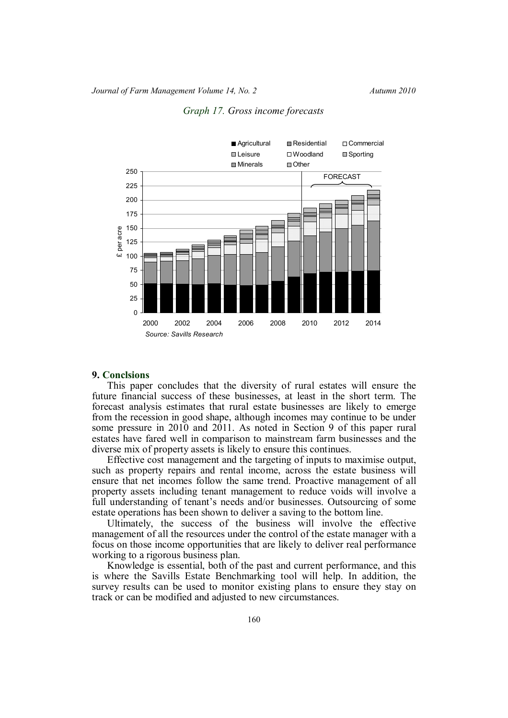![](_page_19_Figure_2.jpeg)

*Graph 17. Gross income forecasts*

#### **9. Conclsions**

This paper concludes that the diversity of rural estates will ensure the future financial success of these businesses, at least in the short term. The forecast analysis estimates that rural estate businesses are likely to emerge from the recession in good shape, although incomes may continue to be under some pressure in 2010 and 2011. As noted in Section 9 of this paper rural estates have fared well in comparison to mainstream farm businesses and the diverse mix of property assets is likely to ensure this continues.

Effective cost management and the targeting of inputs to maximise output, such as property repairs and rental income, across the estate business will ensure that net incomes follow the same trend. Proactive management of all property assets including tenant management to reduce voids will involve a full understanding of tenant's needs and/or businesses. Outsourcing of some estate operations has been shown to deliver a saving to the bottom line.

Ultimately, the success of the business will involve the effective management of all the resources under the control of the estate manager with a focus on those income opportunities that are likely to deliver real performance working to a rigorous business plan.

Knowledge is essential, both of the past and current performance, and this is where the Savills Estate Benchmarking tool will help. In addition, the survey results can be used to monitor existing plans to ensure they stay on track or can be modified and adjusted to new circumstances.